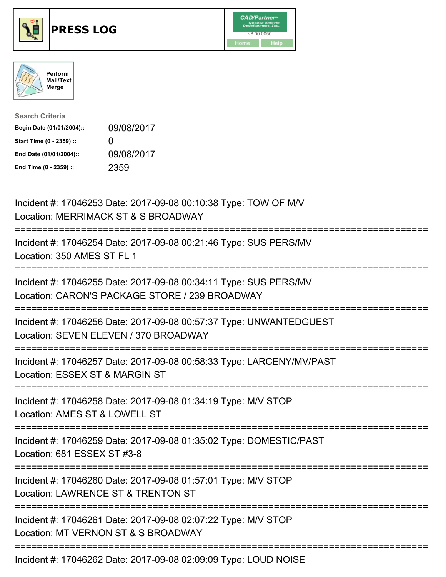





| <b>Search Criteria</b>    |              |
|---------------------------|--------------|
| Begin Date (01/01/2004):: | 09/08/2017   |
| Start Time (0 - 2359) ::  | $\mathbf{I}$ |
| End Date (01/01/2004)::   | 09/08/2017   |
| End Time (0 - 2359) ::    | 2359         |

| Incident #: 17046253 Date: 2017-09-08 00:10:38 Type: TOW OF M/V<br>Location: MERRIMACK ST & S BROADWAY                  |
|-------------------------------------------------------------------------------------------------------------------------|
| Incident #: 17046254 Date: 2017-09-08 00:21:46 Type: SUS PERS/MV<br>Location: 350 AMES ST FL 1<br>-----------           |
| Incident #: 17046255 Date: 2017-09-08 00:34:11 Type: SUS PERS/MV<br>Location: CARON'S PACKAGE STORE / 239 BROADWAY      |
| Incident #: 17046256 Date: 2017-09-08 00:57:37 Type: UNWANTEDGUEST<br>Location: SEVEN ELEVEN / 370 BROADWAY             |
| Incident #: 17046257 Date: 2017-09-08 00:58:33 Type: LARCENY/MV/PAST<br>Location: ESSEX ST & MARGIN ST                  |
| Incident #: 17046258 Date: 2017-09-08 01:34:19 Type: M/V STOP<br>Location: AMES ST & LOWELL ST<br>------------          |
| Incident #: 17046259 Date: 2017-09-08 01:35:02 Type: DOMESTIC/PAST<br>Location: 681 ESSEX ST #3-8<br>================== |
| Incident #: 17046260 Date: 2017-09-08 01:57:01 Type: M/V STOP<br>Location: LAWRENCE ST & TRENTON ST                     |
| Incident #: 17046261 Date: 2017-09-08 02:07:22 Type: M/V STOP<br>Location: MT VERNON ST & S BROADWAY                    |
| Incident #: 17046262 Date: 2017-09-08 02:09:09 Type: LOUD NOISE                                                         |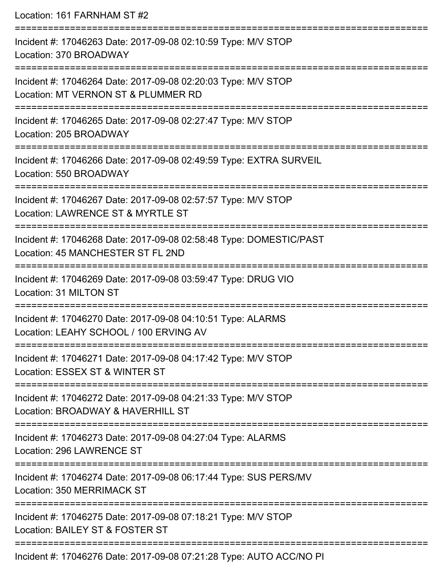Location: 161 FARNHAM ST #2

| Incident #: 17046263 Date: 2017-09-08 02:10:59 Type: M/V STOP<br>Location: 370 BROADWAY                 |
|---------------------------------------------------------------------------------------------------------|
| Incident #: 17046264 Date: 2017-09-08 02:20:03 Type: M/V STOP<br>Location: MT VERNON ST & PLUMMER RD    |
| Incident #: 17046265 Date: 2017-09-08 02:27:47 Type: M/V STOP<br>Location: 205 BROADWAY                 |
| Incident #: 17046266 Date: 2017-09-08 02:49:59 Type: EXTRA SURVEIL<br>Location: 550 BROADWAY            |
| Incident #: 17046267 Date: 2017-09-08 02:57:57 Type: M/V STOP<br>Location: LAWRENCE ST & MYRTLE ST      |
| Incident #: 17046268 Date: 2017-09-08 02:58:48 Type: DOMESTIC/PAST<br>Location: 45 MANCHESTER ST FL 2ND |
| Incident #: 17046269 Date: 2017-09-08 03:59:47 Type: DRUG VIO<br>Location: 31 MILTON ST                 |
| Incident #: 17046270 Date: 2017-09-08 04:10:51 Type: ALARMS<br>Location: LEAHY SCHOOL / 100 ERVING AV   |
| Incident #: 17046271 Date: 2017-09-08 04:17:42 Type: M/V STOP<br>Location: ESSEX ST & WINTER ST         |
| Incident #: 17046272 Date: 2017-09-08 04:21:33 Type: M/V STOP<br>Location: BROADWAY & HAVERHILL ST      |
| Incident #: 17046273 Date: 2017-09-08 04:27:04 Type: ALARMS<br>Location: 296 LAWRENCE ST                |
| Incident #: 17046274 Date: 2017-09-08 06:17:44 Type: SUS PERS/MV<br><b>Location: 350 MERRIMACK ST</b>   |
| Incident #: 17046275 Date: 2017-09-08 07:18:21 Type: M/V STOP<br>Location: BAILEY ST & FOSTER ST        |
| Incident #: 17046276 Date: 2017-09-08 07:21:28 Type: AUTO ACC/NO PI                                     |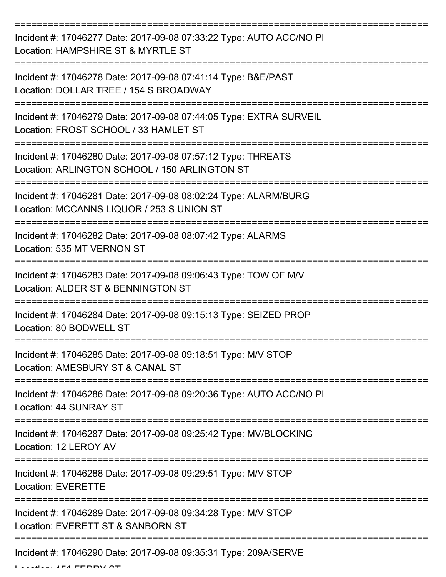| Incident #: 17046277 Date: 2017-09-08 07:33:22 Type: AUTO ACC/NO PI<br>Location: HAMPSHIRE ST & MYRTLE ST     |
|---------------------------------------------------------------------------------------------------------------|
| Incident #: 17046278 Date: 2017-09-08 07:41:14 Type: B&E/PAST<br>Location: DOLLAR TREE / 154 S BROADWAY       |
| Incident #: 17046279 Date: 2017-09-08 07:44:05 Type: EXTRA SURVEIL<br>Location: FROST SCHOOL / 33 HAMLET ST   |
| Incident #: 17046280 Date: 2017-09-08 07:57:12 Type: THREATS<br>Location: ARLINGTON SCHOOL / 150 ARLINGTON ST |
| Incident #: 17046281 Date: 2017-09-08 08:02:24 Type: ALARM/BURG<br>Location: MCCANNS LIQUOR / 253 S UNION ST  |
| Incident #: 17046282 Date: 2017-09-08 08:07:42 Type: ALARMS<br>Location: 535 MT VERNON ST                     |
| Incident #: 17046283 Date: 2017-09-08 09:06:43 Type: TOW OF M/V<br>Location: ALDER ST & BENNINGTON ST         |
| Incident #: 17046284 Date: 2017-09-08 09:15:13 Type: SEIZED PROP<br>Location: 80 BODWELL ST                   |
| Incident #: 17046285 Date: 2017-09-08 09:18:51 Type: M/V STOP<br>Location: AMESBURY ST & CANAL ST             |
| Incident #: 17046286 Date: 2017-09-08 09:20:36 Type: AUTO ACC/NO PI<br>Location: 44 SUNRAY ST                 |
| Incident #: 17046287 Date: 2017-09-08 09:25:42 Type: MV/BLOCKING<br>Location: 12 LEROY AV                     |
| Incident #: 17046288 Date: 2017-09-08 09:29:51 Type: M/V STOP<br><b>Location: EVERETTE</b>                    |
| Incident #: 17046289 Date: 2017-09-08 09:34:28 Type: M/V STOP<br>Location: EVERETT ST & SANBORN ST            |
| Incident #: 17046290 Date: 2017-09-08 09:35:31 Type: 209A/SERVE                                               |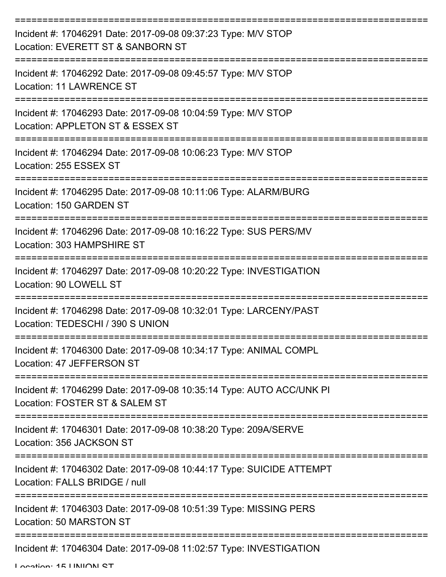| Incident #: 17046291 Date: 2017-09-08 09:37:23 Type: M/V STOP<br>Location: EVERETT ST & SANBORN ST     |
|--------------------------------------------------------------------------------------------------------|
| Incident #: 17046292 Date: 2017-09-08 09:45:57 Type: M/V STOP<br>Location: 11 LAWRENCE ST              |
| Incident #: 17046293 Date: 2017-09-08 10:04:59 Type: M/V STOP<br>Location: APPLETON ST & ESSEX ST      |
| Incident #: 17046294 Date: 2017-09-08 10:06:23 Type: M/V STOP<br>Location: 255 ESSEX ST                |
| Incident #: 17046295 Date: 2017-09-08 10:11:06 Type: ALARM/BURG<br>Location: 150 GARDEN ST             |
| Incident #: 17046296 Date: 2017-09-08 10:16:22 Type: SUS PERS/MV<br>Location: 303 HAMPSHIRE ST         |
| Incident #: 17046297 Date: 2017-09-08 10:20:22 Type: INVESTIGATION<br>Location: 90 LOWELL ST           |
| Incident #: 17046298 Date: 2017-09-08 10:32:01 Type: LARCENY/PAST<br>Location: TEDESCHI / 390 S UNION  |
| Incident #: 17046300 Date: 2017-09-08 10:34:17 Type: ANIMAL COMPL<br>Location: 47 JEFFERSON ST         |
| Incident #: 17046299 Date: 2017-09-08 10:35:14 Type: AUTO ACC/UNK PI<br>Location: FOSTER ST & SALEM ST |
| Incident #: 17046301 Date: 2017-09-08 10:38:20 Type: 209A/SERVE<br>Location: 356 JACKSON ST            |
| Incident #: 17046302 Date: 2017-09-08 10:44:17 Type: SUICIDE ATTEMPT<br>Location: FALLS BRIDGE / null  |
| Incident #: 17046303 Date: 2017-09-08 10:51:39 Type: MISSING PERS<br>Location: 50 MARSTON ST           |
| Incident #: 17046304 Date: 2017-09-08 11:02:57 Type: INVESTIGATION                                     |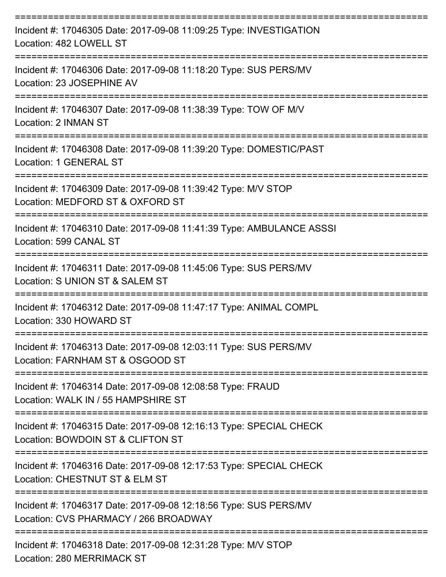| Incident #: 17046305 Date: 2017-09-08 11:09:25 Type: INVESTIGATION<br>Location: 482 LOWELL ST             |
|-----------------------------------------------------------------------------------------------------------|
| Incident #: 17046306 Date: 2017-09-08 11:18:20 Type: SUS PERS/MV<br>Location: 23 JOSEPHINE AV             |
| Incident #: 17046307 Date: 2017-09-08 11:38:39 Type: TOW OF M/V<br>Location: 2 INMAN ST                   |
| Incident #: 17046308 Date: 2017-09-08 11:39:20 Type: DOMESTIC/PAST<br>Location: 1 GENERAL ST              |
| Incident #: 17046309 Date: 2017-09-08 11:39:42 Type: M/V STOP<br>Location: MEDFORD ST & OXFORD ST         |
| Incident #: 17046310 Date: 2017-09-08 11:41:39 Type: AMBULANCE ASSSI<br>Location: 599 CANAL ST            |
| Incident #: 17046311 Date: 2017-09-08 11:45:06 Type: SUS PERS/MV<br>Location: S UNION ST & SALEM ST       |
| Incident #: 17046312 Date: 2017-09-08 11:47:17 Type: ANIMAL COMPL<br>Location: 330 HOWARD ST              |
| Incident #: 17046313 Date: 2017-09-08 12:03:11 Type: SUS PERS/MV<br>Location: FARNHAM ST & OSGOOD ST      |
| Incident #: 17046314 Date: 2017-09-08 12:08:58 Type: FRAUD<br>Location: WALK IN / 55 HAMPSHIRE ST         |
| Incident #: 17046315 Date: 2017-09-08 12:16:13 Type: SPECIAL CHECK<br>Location: BOWDOIN ST & CLIFTON ST   |
| Incident #: 17046316 Date: 2017-09-08 12:17:53 Type: SPECIAL CHECK<br>Location: CHESTNUT ST & ELM ST      |
| Incident #: 17046317 Date: 2017-09-08 12:18:56 Type: SUS PERS/MV<br>Location: CVS PHARMACY / 266 BROADWAY |
| Incident #: 17046318 Date: 2017-09-08 12:31:28 Type: M/V STOP                                             |

Location: 280 MERRIMACK ST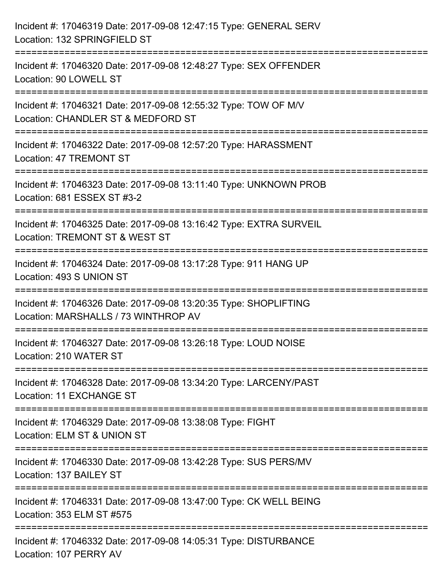| Incident #: 17046319 Date: 2017-09-08 12:47:15 Type: GENERAL SERV<br>Location: 132 SPRINGFIELD ST                         |
|---------------------------------------------------------------------------------------------------------------------------|
| Incident #: 17046320 Date: 2017-09-08 12:48:27 Type: SEX OFFENDER<br>Location: 90 LOWELL ST                               |
| ----------------<br>Incident #: 17046321 Date: 2017-09-08 12:55:32 Type: TOW OF M/V<br>Location: CHANDLER ST & MEDFORD ST |
| Incident #: 17046322 Date: 2017-09-08 12:57:20 Type: HARASSMENT<br>Location: 47 TREMONT ST                                |
| Incident #: 17046323 Date: 2017-09-08 13:11:40 Type: UNKNOWN PROB<br>Location: 681 ESSEX ST #3-2                          |
| Incident #: 17046325 Date: 2017-09-08 13:16:42 Type: EXTRA SURVEIL<br>Location: TREMONT ST & WEST ST                      |
| Incident #: 17046324 Date: 2017-09-08 13:17:28 Type: 911 HANG UP<br>Location: 493 S UNION ST                              |
| Incident #: 17046326 Date: 2017-09-08 13:20:35 Type: SHOPLIFTING<br>Location: MARSHALLS / 73 WINTHROP AV                  |
| Incident #: 17046327 Date: 2017-09-08 13:26:18 Type: LOUD NOISE<br>Location: 210 WATER ST                                 |
| Incident #: 17046328 Date: 2017-09-08 13:34:20 Type: LARCENY/PAST<br>Location: 11 EXCHANGE ST                             |
| Incident #: 17046329 Date: 2017-09-08 13:38:08 Type: FIGHT<br>Location: ELM ST & UNION ST                                 |
| Incident #: 17046330 Date: 2017-09-08 13:42:28 Type: SUS PERS/MV<br>Location: 137 BAILEY ST                               |
| Incident #: 17046331 Date: 2017-09-08 13:47:00 Type: CK WELL BEING<br>Location: 353 ELM ST #575                           |
| Incident #: 17046332 Date: 2017-09-08 14:05:31 Type: DISTURBANCE<br>Location: 107 PERRY AV                                |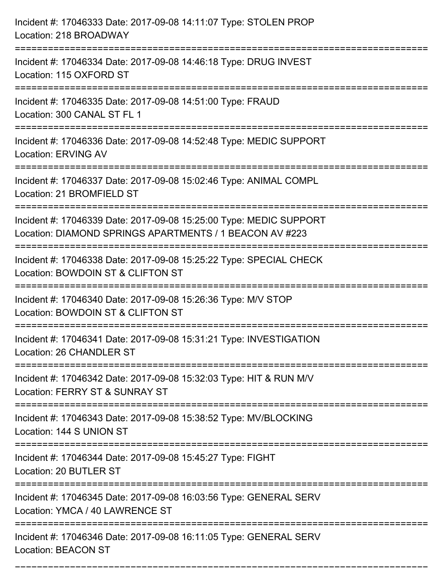| Incident #: 17046333 Date: 2017-09-08 14:11:07 Type: STOLEN PROP<br>Location: 218 BROADWAY                                                                 |
|------------------------------------------------------------------------------------------------------------------------------------------------------------|
| Incident #: 17046334 Date: 2017-09-08 14:46:18 Type: DRUG INVEST<br>Location: 115 OXFORD ST                                                                |
| Incident #: 17046335 Date: 2017-09-08 14:51:00 Type: FRAUD<br>Location: 300 CANAL ST FL 1<br>==================================                            |
| Incident #: 17046336 Date: 2017-09-08 14:52:48 Type: MEDIC SUPPORT<br><b>Location: ERVING AV</b>                                                           |
| Incident #: 17046337 Date: 2017-09-08 15:02:46 Type: ANIMAL COMPL<br>Location: 21 BROMFIELD ST<br>==================================                       |
| Incident #: 17046339 Date: 2017-09-08 15:25:00 Type: MEDIC SUPPORT<br>Location: DIAMOND SPRINGS APARTMENTS / 1 BEACON AV #223<br>------------------------- |
| Incident #: 17046338 Date: 2017-09-08 15:25:22 Type: SPECIAL CHECK<br>Location: BOWDOIN ST & CLIFTON ST                                                    |
| Incident #: 17046340 Date: 2017-09-08 15:26:36 Type: M/V STOP<br>Location: BOWDOIN ST & CLIFTON ST                                                         |
| Incident #: 17046341 Date: 2017-09-08 15:31:21 Type: INVESTIGATION<br>Location: 26 CHANDLER ST                                                             |
| Incident #: 17046342 Date: 2017-09-08 15:32:03 Type: HIT & RUN M/V<br>Location: FERRY ST & SUNRAY ST                                                       |
| Incident #: 17046343 Date: 2017-09-08 15:38:52 Type: MV/BLOCKING<br>Location: 144 S UNION ST                                                               |
| Incident #: 17046344 Date: 2017-09-08 15:45:27 Type: FIGHT<br>Location: 20 BUTLER ST                                                                       |
| Incident #: 17046345 Date: 2017-09-08 16:03:56 Type: GENERAL SERV<br>Location: YMCA / 40 LAWRENCE ST                                                       |
| Incident #: 17046346 Date: 2017-09-08 16:11:05 Type: GENERAL SERV<br><b>Location: BEACON ST</b>                                                            |

===========================================================================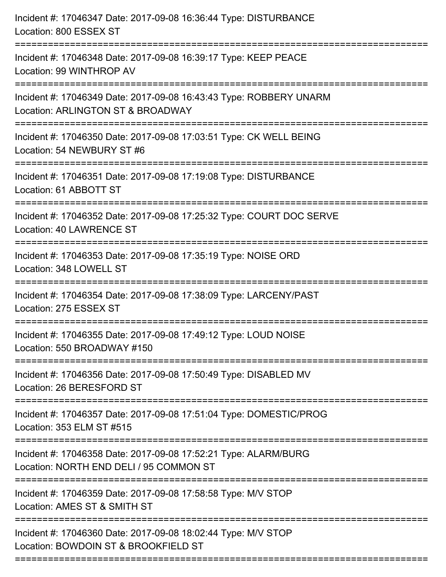| Incident #: 17046347 Date: 2017-09-08 16:36:44 Type: DISTURBANCE<br>Location: 800 ESSEX ST                                      |
|---------------------------------------------------------------------------------------------------------------------------------|
| :===============================<br>Incident #: 17046348 Date: 2017-09-08 16:39:17 Type: KEEP PEACE<br>Location: 99 WINTHROP AV |
| Incident #: 17046349 Date: 2017-09-08 16:43:43 Type: ROBBERY UNARM<br>Location: ARLINGTON ST & BROADWAY                         |
| Incident #: 17046350 Date: 2017-09-08 17:03:51 Type: CK WELL BEING<br>Location: 54 NEWBURY ST #6                                |
| Incident #: 17046351 Date: 2017-09-08 17:19:08 Type: DISTURBANCE<br>Location: 61 ABBOTT ST                                      |
| Incident #: 17046352 Date: 2017-09-08 17:25:32 Type: COURT DOC SERVE<br><b>Location: 40 LAWRENCE ST</b>                         |
| Incident #: 17046353 Date: 2017-09-08 17:35:19 Type: NOISE ORD<br>Location: 348 LOWELL ST                                       |
| Incident #: 17046354 Date: 2017-09-08 17:38:09 Type: LARCENY/PAST<br>Location: 275 ESSEX ST                                     |
| Incident #: 17046355 Date: 2017-09-08 17:49:12 Type: LOUD NOISE<br>Location: 550 BROADWAY #150                                  |
| Incident #: 17046356 Date: 2017-09-08 17:50:49 Type: DISABLED MV<br>Location: 26 BERESFORD ST                                   |
| Incident #: 17046357 Date: 2017-09-08 17:51:04 Type: DOMESTIC/PROG<br>Location: 353 ELM ST #515                                 |
| Incident #: 17046358 Date: 2017-09-08 17:52:21 Type: ALARM/BURG<br>Location: NORTH END DELI / 95 COMMON ST                      |
| Incident #: 17046359 Date: 2017-09-08 17:58:58 Type: M/V STOP<br>Location: AMES ST & SMITH ST                                   |
| Incident #: 17046360 Date: 2017-09-08 18:02:44 Type: M/V STOP<br>Location: BOWDOIN ST & BROOKFIELD ST                           |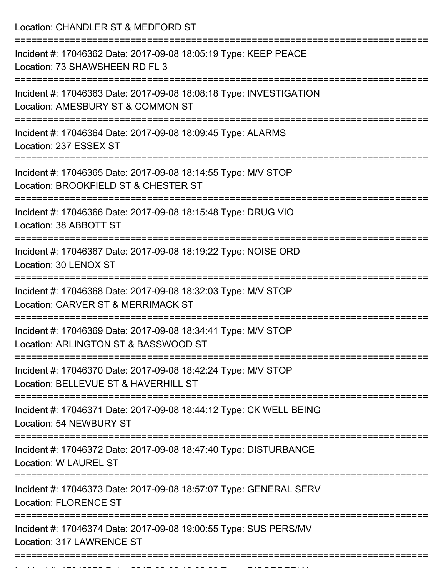Location: CHANDLER ST & MEDFORD ST =========================================================================== Incident #: 17046362 Date: 2017-09-08 18:05:19 Type: KEEP PEACE Location: 73 SHAWSHEEN RD FL 3 =========================================================================== Incident #: 17046363 Date: 2017-09-08 18:08:18 Type: INVESTIGATION Location: AMESBURY ST & COMMON ST =========================================================================== Incident #: 17046364 Date: 2017-09-08 18:09:45 Type: ALARMS Location: 237 ESSEX ST =========================================================================== Incident #: 17046365 Date: 2017-09-08 18:14:55 Type: M/V STOP Location: BROOKFIELD ST & CHESTER ST =========================================================================== Incident #: 17046366 Date: 2017-09-08 18:15:48 Type: DRUG VIO Location: 38 ABBOTT ST =========================================================================== Incident #: 17046367 Date: 2017-09-08 18:19:22 Type: NOISE ORD Location: 30 LENOX ST =========================================================================== Incident #: 17046368 Date: 2017-09-08 18:32:03 Type: M/V STOP Location: CARVER ST & MERRIMACK ST =========================================================================== Incident #: 17046369 Date: 2017-09-08 18:34:41 Type: M/V STOP Location: ARLINGTON ST & BASSWOOD ST =========================================================================== Incident #: 17046370 Date: 2017-09-08 18:42:24 Type: M/V STOP Location: BELLEVUE ST & HAVERHILL ST =========================================================================== Incident #: 17046371 Date: 2017-09-08 18:44:12 Type: CK WELL BEING Location: 54 NEWBURY ST =========================================================================== Incident #: 17046372 Date: 2017-09-08 18:47:40 Type: DISTURBANCE Location: W LAUREL ST =========================================================================== Incident #: 17046373 Date: 2017-09-08 18:57:07 Type: GENERAL SERV Location: FLORENCE ST =========================================================================== Incident #: 17046374 Date: 2017-09-08 19:00:55 Type: SUS PERS/MV Location: 317 LAWRENCE ST ===========================================================================

Incident #: 17046375 Date: 2017 09 08 19:02:23 Type: DISORDERLY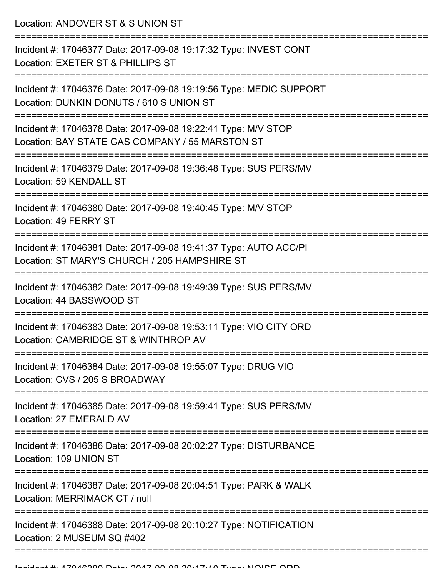Location: ANDOVER ST & S UNION ST

| Incident #: 17046377 Date: 2017-09-08 19:17:32 Type: INVEST CONT<br>Location: EXETER ST & PHILLIPS ST             |
|-------------------------------------------------------------------------------------------------------------------|
| Incident #: 17046376 Date: 2017-09-08 19:19:56 Type: MEDIC SUPPORT<br>Location: DUNKIN DONUTS / 610 S UNION ST    |
| Incident #: 17046378 Date: 2017-09-08 19:22:41 Type: M/V STOP<br>Location: BAY STATE GAS COMPANY / 55 MARSTON ST  |
| Incident #: 17046379 Date: 2017-09-08 19:36:48 Type: SUS PERS/MV<br>Location: 59 KENDALL ST                       |
| Incident #: 17046380 Date: 2017-09-08 19:40:45 Type: M/V STOP<br>Location: 49 FERRY ST                            |
| Incident #: 17046381 Date: 2017-09-08 19:41:37 Type: AUTO ACC/PI<br>Location: ST MARY'S CHURCH / 205 HAMPSHIRE ST |
| Incident #: 17046382 Date: 2017-09-08 19:49:39 Type: SUS PERS/MV<br>Location: 44 BASSWOOD ST                      |
| Incident #: 17046383 Date: 2017-09-08 19:53:11 Type: VIO CITY ORD<br>Location: CAMBRIDGE ST & WINTHROP AV         |
| Incident #: 17046384 Date: 2017-09-08 19:55:07 Type: DRUG VIO<br>Location: CVS / 205 S BROADWAY                   |
| Incident #: 17046385 Date: 2017-09-08 19:59:41 Type: SUS PERS/MV<br>Location: 27 EMERALD AV                       |
| Incident #: 17046386 Date: 2017-09-08 20:02:27 Type: DISTURBANCE<br>Location: 109 UNION ST                        |
| Incident #: 17046387 Date: 2017-09-08 20:04:51 Type: PARK & WALK<br>Location: MERRIMACK CT / null                 |
| Incident #: 17046388 Date: 2017-09-08 20:10:27 Type: NOTIFICATION<br>Location: 2 MUSEUM SQ #402                   |
|                                                                                                                   |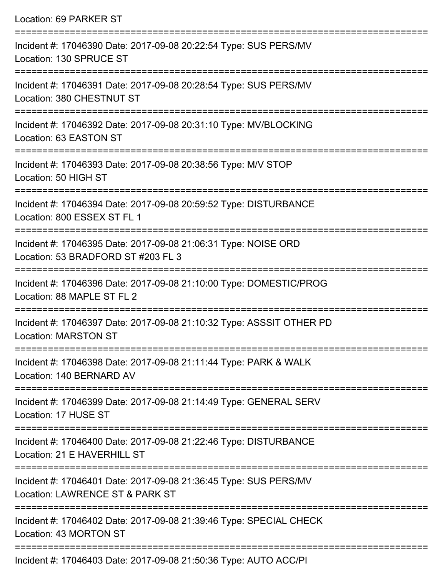| Location: 69 PARKER ST                                                                                                           |
|----------------------------------------------------------------------------------------------------------------------------------|
| Incident #: 17046390 Date: 2017-09-08 20:22:54 Type: SUS PERS/MV<br>Location: 130 SPRUCE ST                                      |
| Incident #: 17046391 Date: 2017-09-08 20:28:54 Type: SUS PERS/MV<br>Location: 380 CHESTNUT ST                                    |
| Incident #: 17046392 Date: 2017-09-08 20:31:10 Type: MV/BLOCKING<br>Location: 63 EASTON ST<br>:=======================           |
| Incident #: 17046393 Date: 2017-09-08 20:38:56 Type: M/V STOP<br>Location: 50 HIGH ST                                            |
| Incident #: 17046394 Date: 2017-09-08 20:59:52 Type: DISTURBANCE<br>Location: 800 ESSEX ST FL 1<br>============================= |
| Incident #: 17046395 Date: 2017-09-08 21:06:31 Type: NOISE ORD<br>Location: 53 BRADFORD ST #203 FL 3                             |
| Incident #: 17046396 Date: 2017-09-08 21:10:00 Type: DOMESTIC/PROG<br>Location: 88 MAPLE ST FL 2                                 |
| Incident #: 17046397 Date: 2017-09-08 21:10:32 Type: ASSSIT OTHER PD<br><b>Location: MARSTON ST</b>                              |
| Incident #: 17046398 Date: 2017-09-08 21:11:44 Type: PARK & WALK<br>Location: 140 BERNARD AV                                     |
| Incident #: 17046399 Date: 2017-09-08 21:14:49 Type: GENERAL SERV<br>Location: 17 HUSE ST                                        |
| ------------------------<br>Incident #: 17046400 Date: 2017-09-08 21:22:46 Type: DISTURBANCE<br>Location: 21 E HAVERHILL ST      |
| Incident #: 17046401 Date: 2017-09-08 21:36:45 Type: SUS PERS/MV<br>Location: LAWRENCE ST & PARK ST                              |
| Incident #: 17046402 Date: 2017-09-08 21:39:46 Type: SPECIAL CHECK<br>Location: 43 MORTON ST                                     |
|                                                                                                                                  |

Incident #: 17046403 Date: 2017-09-08 21:50:36 Type: AUTO ACC/PI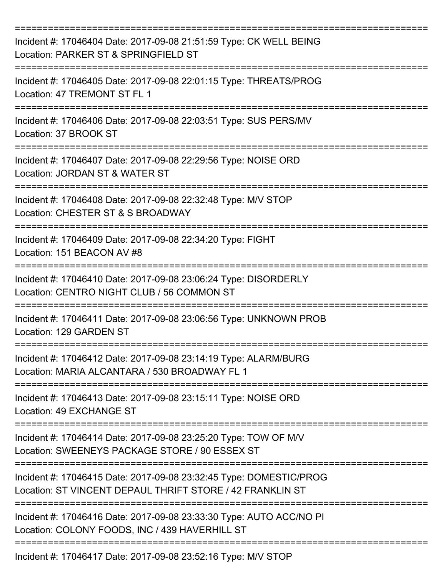| Incident #: 17046404 Date: 2017-09-08 21:51:59 Type: CK WELL BEING<br>Location: PARKER ST & SPRINGFIELD ST                      |
|---------------------------------------------------------------------------------------------------------------------------------|
| Incident #: 17046405 Date: 2017-09-08 22:01:15 Type: THREATS/PROG<br>Location: 47 TREMONT ST FL 1                               |
| Incident #: 17046406 Date: 2017-09-08 22:03:51 Type: SUS PERS/MV<br>Location: 37 BROOK ST                                       |
| Incident #: 17046407 Date: 2017-09-08 22:29:56 Type: NOISE ORD<br>Location: JORDAN ST & WATER ST                                |
| Incident #: 17046408 Date: 2017-09-08 22:32:48 Type: M/V STOP<br>Location: CHESTER ST & S BROADWAY                              |
| Incident #: 17046409 Date: 2017-09-08 22:34:20 Type: FIGHT<br>Location: 151 BEACON AV #8                                        |
| Incident #: 17046410 Date: 2017-09-08 23:06:24 Type: DISORDERLY<br>Location: CENTRO NIGHT CLUB / 56 COMMON ST                   |
| Incident #: 17046411 Date: 2017-09-08 23:06:56 Type: UNKNOWN PROB<br>Location: 129 GARDEN ST                                    |
| Incident #: 17046412 Date: 2017-09-08 23:14:19 Type: ALARM/BURG<br>Location: MARIA ALCANTARA / 530 BROADWAY FL 1                |
| Incident #: 17046413 Date: 2017-09-08 23:15:11 Type: NOISE ORD<br>Location: 49 EXCHANGE ST                                      |
| Incident #: 17046414 Date: 2017-09-08 23:25:20 Type: TOW OF M/V<br>Location: SWEENEYS PACKAGE STORE / 90 ESSEX ST               |
| Incident #: 17046415 Date: 2017-09-08 23:32:45 Type: DOMESTIC/PROG<br>Location: ST VINCENT DEPAUL THRIFT STORE / 42 FRANKLIN ST |
| Incident #: 17046416 Date: 2017-09-08 23:33:30 Type: AUTO ACC/NO PI<br>Location: COLONY FOODS, INC / 439 HAVERHILL ST           |
| Incident #: 17046417 Date: 2017-09-08 23:52:16 Type: M/V STOP                                                                   |